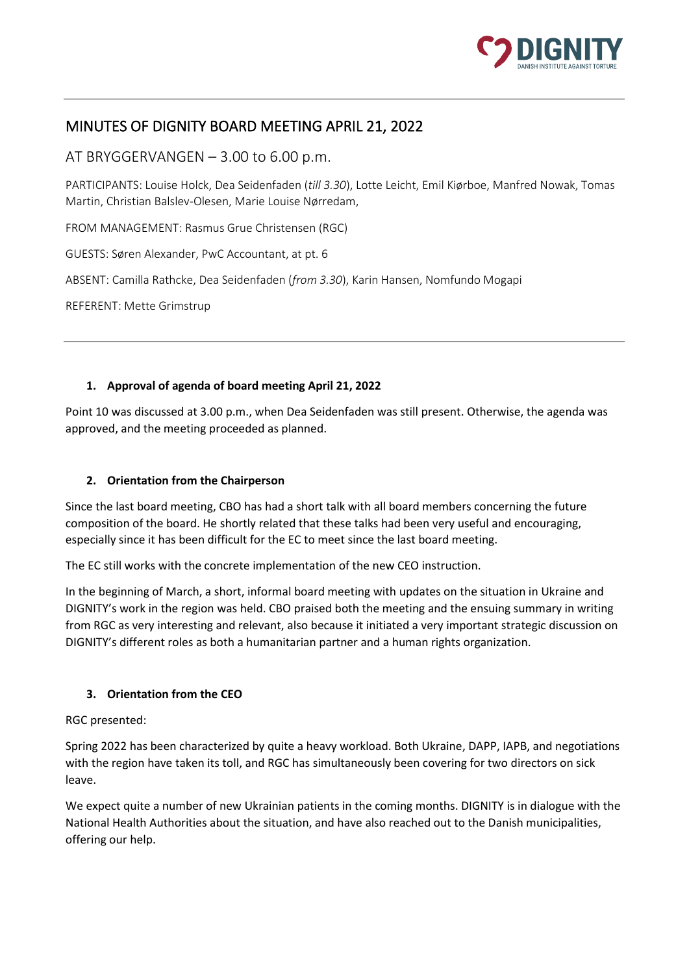

# MINUTES OF DIGNITY BOARD MEETING APRIL 21, 2022

AT BRYGGERVANGEN – 3.00 to 6.00 p.m.

PARTICIPANTS: Louise Holck, Dea Seidenfaden (*till 3.30*), Lotte Leicht, Emil Kiørboe, Manfred Nowak, Tomas Martin, Christian Balslev-Olesen, Marie Louise Nørredam,

FROM MANAGEMENT: Rasmus Grue Christensen (RGC)

GUESTS: Søren Alexander, PwC Accountant, at pt. 6

ABSENT: Camilla Rathcke, Dea Seidenfaden (*from 3.30*), Karin Hansen, Nomfundo Mogapi

REFERENT: Mette Grimstrup

### **1. Approval of agenda of board meeting April 21, 2022**

Point 10 was discussed at 3.00 p.m., when Dea Seidenfaden was still present. Otherwise, the agenda was approved, and the meeting proceeded as planned.

## **2. Orientation from the Chairperson**

Since the last board meeting, CBO has had a short talk with all board members concerning the future composition of the board. He shortly related that these talks had been very useful and encouraging, especially since it has been difficult for the EC to meet since the last board meeting.

The EC still works with the concrete implementation of the new CEO instruction.

In the beginning of March, a short, informal board meeting with updates on the situation in Ukraine and DIGNITY's work in the region was held. CBO praised both the meeting and the ensuing summary in writing from RGC as very interesting and relevant, also because it initiated a very important strategic discussion on DIGNITY's different roles as both a humanitarian partner and a human rights organization.

# **3. Orientation from the CEO**

RGC presented:

Spring 2022 has been characterized by quite a heavy workload. Both Ukraine, DAPP, IAPB, and negotiations with the region have taken its toll, and RGC has simultaneously been covering for two directors on sick leave.

We expect quite a number of new Ukrainian patients in the coming months. DIGNITY is in dialogue with the National Health Authorities about the situation, and have also reached out to the Danish municipalities, offering our help.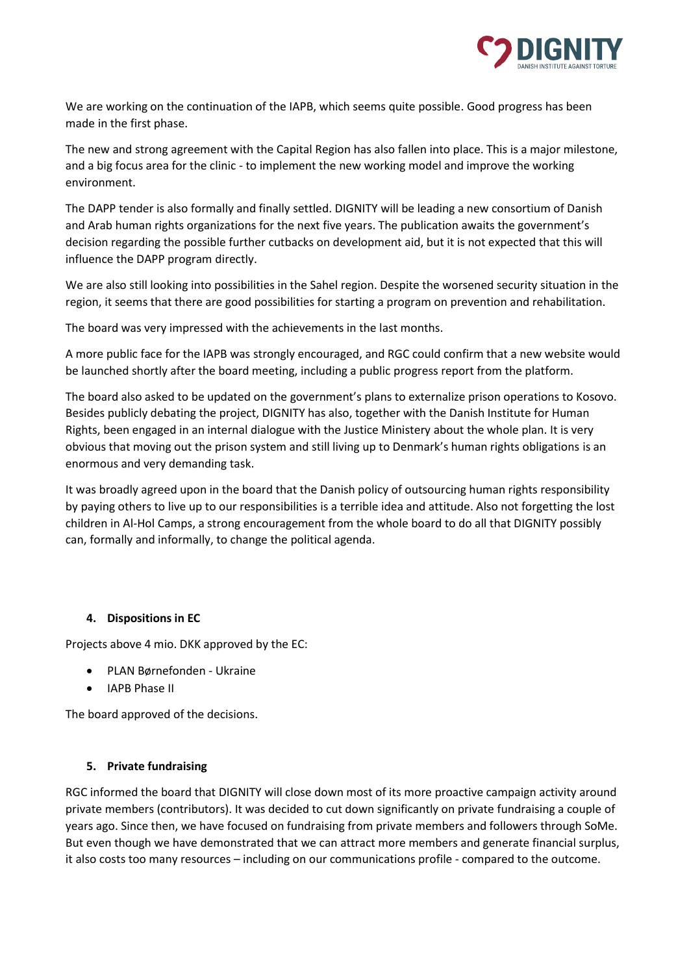

We are working on the continuation of the IAPB, which seems quite possible. Good progress has been made in the first phase.

The new and strong agreement with the Capital Region has also fallen into place. This is a major milestone, and a big focus area for the clinic - to implement the new working model and improve the working environment.

The DAPP tender is also formally and finally settled. DIGNITY will be leading a new consortium of Danish and Arab human rights organizations for the next five years. The publication awaits the government's decision regarding the possible further cutbacks on development aid, but it is not expected that this will influence the DAPP program directly.

We are also still looking into possibilities in the Sahel region. Despite the worsened security situation in the region, it seems that there are good possibilities for starting a program on prevention and rehabilitation.

The board was very impressed with the achievements in the last months.

A more public face for the IAPB was strongly encouraged, and RGC could confirm that a new website would be launched shortly after the board meeting, including a public progress report from the platform.

The board also asked to be updated on the government's plans to externalize prison operations to Kosovo. Besides publicly debating the project, DIGNITY has also, together with the Danish Institute for Human Rights, been engaged in an internal dialogue with the Justice Ministery about the whole plan. It is very obvious that moving out the prison system and still living up to Denmark's human rights obligations is an enormous and very demanding task.

It was broadly agreed upon in the board that the Danish policy of outsourcing human rights responsibility by paying others to live up to our responsibilities is a terrible idea and attitude. Also not forgetting the lost children in Al-Hol Camps, a strong encouragement from the whole board to do all that DIGNITY possibly can, formally and informally, to change the political agenda.

# **4. Dispositions in EC**

Projects above 4 mio. DKK approved by the EC:

- PLAN Børnefonden Ukraine
- IAPB Phase II

The board approved of the decisions.

#### **5. Private fundraising**

RGC informed the board that DIGNITY will close down most of its more proactive campaign activity around private members (contributors). It was decided to cut down significantly on private fundraising a couple of years ago. Since then, we have focused on fundraising from private members and followers through SoMe. But even though we have demonstrated that we can attract more members and generate financial surplus, it also costs too many resources – including on our communications profile - compared to the outcome.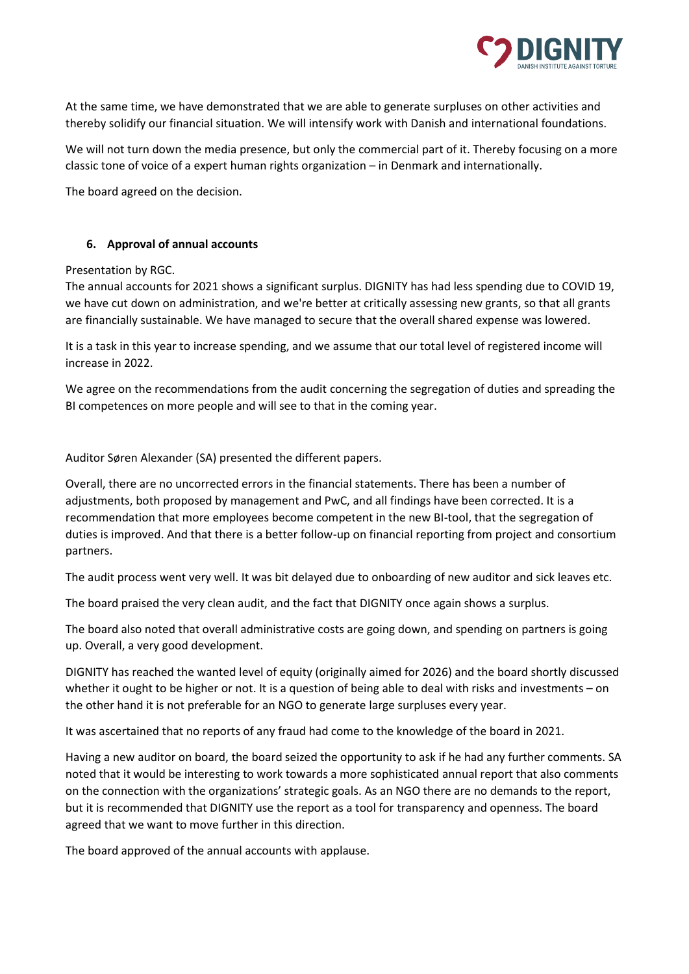

At the same time, we have demonstrated that we are able to generate surpluses on other activities and thereby solidify our financial situation. We will intensify work with Danish and international foundations.

We will not turn down the media presence, but only the commercial part of it. Thereby focusing on a more classic tone of voice of a expert human rights organization – in Denmark and internationally.

The board agreed on the decision.

# **6. Approval of annual accounts**

Presentation by RGC.

The annual accounts for 2021 shows a significant surplus. DIGNITY has had less spending due to COVID 19, we have cut down on administration, and we're better at critically assessing new grants, so that all grants are financially sustainable. We have managed to secure that the overall shared expense was lowered.

It is a task in this year to increase spending, and we assume that our total level of registered income will increase in 2022.

We agree on the recommendations from the audit concerning the segregation of duties and spreading the BI competences on more people and will see to that in the coming year.

Auditor Søren Alexander (SA) presented the different papers.

Overall, there are no uncorrected errors in the financial statements. There has been a number of adjustments, both proposed by management and PwC, and all findings have been corrected. It is a recommendation that more employees become competent in the new BI-tool, that the segregation of duties is improved. And that there is a better follow-up on financial reporting from project and consortium partners.

The audit process went very well. It was bit delayed due to onboarding of new auditor and sick leaves etc.

The board praised the very clean audit, and the fact that DIGNITY once again shows a surplus.

The board also noted that overall administrative costs are going down, and spending on partners is going up. Overall, a very good development.

DIGNITY has reached the wanted level of equity (originally aimed for 2026) and the board shortly discussed whether it ought to be higher or not. It is a question of being able to deal with risks and investments – on the other hand it is not preferable for an NGO to generate large surpluses every year.

It was ascertained that no reports of any fraud had come to the knowledge of the board in 2021.

Having a new auditor on board, the board seized the opportunity to ask if he had any further comments. SA noted that it would be interesting to work towards a more sophisticated annual report that also comments on the connection with the organizations' strategic goals. As an NGO there are no demands to the report, but it is recommended that DIGNITY use the report as a tool for transparency and openness. The board agreed that we want to move further in this direction.

The board approved of the annual accounts with applause.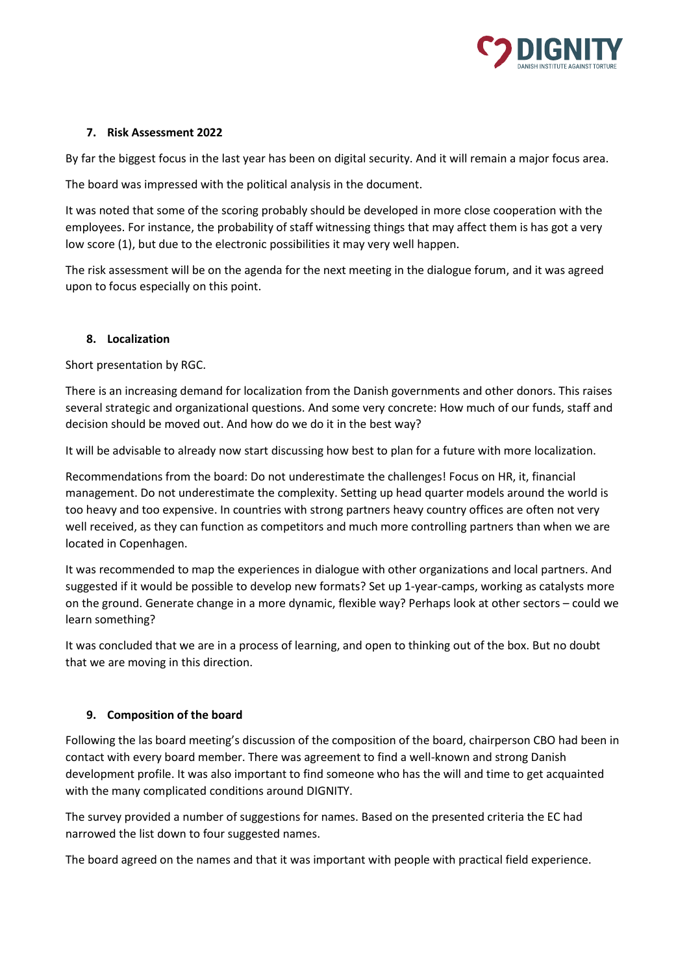

## **7. Risk Assessment 2022**

By far the biggest focus in the last year has been on digital security. And it will remain a major focus area.

The board was impressed with the political analysis in the document.

It was noted that some of the scoring probably should be developed in more close cooperation with the employees. For instance, the probability of staff witnessing things that may affect them is has got a very low score (1), but due to the electronic possibilities it may very well happen.

The risk assessment will be on the agenda for the next meeting in the dialogue forum, and it was agreed upon to focus especially on this point.

#### **8. Localization**

Short presentation by RGC.

There is an increasing demand for localization from the Danish governments and other donors. This raises several strategic and organizational questions. And some very concrete: How much of our funds, staff and decision should be moved out. And how do we do it in the best way?

It will be advisable to already now start discussing how best to plan for a future with more localization.

Recommendations from the board: Do not underestimate the challenges! Focus on HR, it, financial management. Do not underestimate the complexity. Setting up head quarter models around the world is too heavy and too expensive. In countries with strong partners heavy country offices are often not very well received, as they can function as competitors and much more controlling partners than when we are located in Copenhagen.

It was recommended to map the experiences in dialogue with other organizations and local partners. And suggested if it would be possible to develop new formats? Set up 1-year-camps, working as catalysts more on the ground. Generate change in a more dynamic, flexible way? Perhaps look at other sectors – could we learn something?

It was concluded that we are in a process of learning, and open to thinking out of the box. But no doubt that we are moving in this direction.

#### **9. Composition of the board**

Following the las board meeting's discussion of the composition of the board, chairperson CBO had been in contact with every board member. There was agreement to find a well-known and strong Danish development profile. It was also important to find someone who has the will and time to get acquainted with the many complicated conditions around DIGNITY.

The survey provided a number of suggestions for names. Based on the presented criteria the EC had narrowed the list down to four suggested names.

The board agreed on the names and that it was important with people with practical field experience.